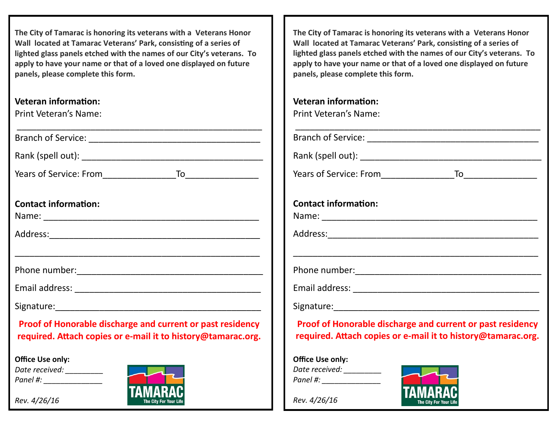#### **Veteran information:** Print Veteran's Name:

| Print Veteran's Name:                                                                                                      |
|----------------------------------------------------------------------------------------------------------------------------|
|                                                                                                                            |
|                                                                                                                            |
|                                                                                                                            |
| <b>Contact information:</b>                                                                                                |
|                                                                                                                            |
|                                                                                                                            |
|                                                                                                                            |
|                                                                                                                            |
|                                                                                                                            |
| Proof of Honorable discharge and current or past residency<br>required. Attach copies or e-mail it to history@tamarac.org. |
| <b>Office Use only:</b>                                                                                                    |
| Date received:                                                                                                             |

**The City of Tamarac is honoring its veterans with a Veterans Honor Wall located at Tamarac Veterans' Park, consisting of a series of lighted glass panels etched with the names of our City's veterans. To apply to have your name or that of a loved one displayed on future panels, please complete this form.**

\_\_\_\_\_\_\_\_\_\_\_\_\_\_\_\_\_\_\_\_\_\_\_\_\_\_\_\_\_\_\_\_\_\_\_\_\_\_\_\_\_\_\_\_\_\_\_\_\_\_

## **Veteran information:**

|  | <b>Print Veteran's Name:</b> |  |
|--|------------------------------|--|
|--|------------------------------|--|

Branch of Service: \_\_\_\_\_\_\_\_\_\_\_\_\_\_\_\_\_\_\_\_\_\_\_\_\_\_\_\_\_\_\_\_\_\_\_

Rank (spell out): \_\_\_\_\_\_\_\_\_\_\_\_\_\_\_\_\_\_\_\_\_\_\_\_\_\_\_\_\_\_\_\_\_\_\_\_\_

Years of Service: From To

**Contact information:**

Name: \_\_\_\_\_\_\_\_\_\_\_\_\_\_\_\_\_\_\_\_\_\_\_\_\_\_\_\_\_\_\_\_\_\_\_\_\_\_\_\_\_\_\_\_

Address:\_\_\_\_\_\_\_\_\_\_\_\_\_\_\_\_\_\_\_\_\_\_\_\_\_\_\_\_\_\_\_\_\_\_\_\_\_\_\_\_\_\_\_

Phone number:\_\_\_\_\_\_\_\_\_\_\_\_\_\_\_\_\_\_\_\_\_\_\_\_\_\_\_\_\_\_\_\_\_\_\_\_\_\_

Email address: \_\_\_\_\_\_\_\_\_\_\_\_\_\_\_\_\_\_\_\_\_\_\_\_\_\_\_\_\_\_\_\_\_\_\_\_\_\_

Signature:

# **Proof of Honorable discharge and current or past residency required. Attach copies or e-mail it to history@tamarac.org.**

\_\_\_\_\_\_\_\_\_\_\_\_\_\_\_\_\_\_\_\_\_\_\_\_\_\_\_\_\_\_\_\_\_\_\_\_\_\_\_\_\_\_\_\_\_\_\_\_\_\_

**Office Use only:** *Date received: \_\_\_\_\_\_\_\_\_ Panel #: \_\_\_\_\_\_\_\_\_\_\_\_\_\_*



*Rev. 4/26/16*

*Rev. 4/26/16*

*Panel #: \_\_\_\_\_\_\_\_\_\_\_\_\_\_*